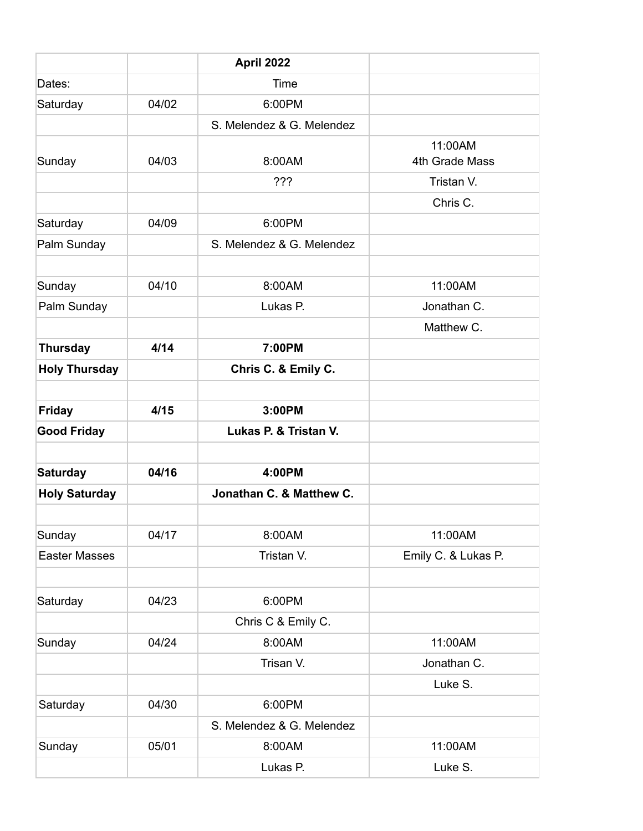|                      |       | April 2022                |                           |
|----------------------|-------|---------------------------|---------------------------|
| Dates:               |       | Time                      |                           |
| Saturday             | 04/02 | 6:00PM                    |                           |
|                      |       | S. Melendez & G. Melendez |                           |
| Sunday               | 04/03 | 8:00AM                    | 11:00AM<br>4th Grade Mass |
|                      |       | ???                       | Tristan V.                |
|                      |       |                           | Chris C.                  |
| Saturday             | 04/09 | 6:00PM                    |                           |
| Palm Sunday          |       | S. Melendez & G. Melendez |                           |
|                      |       |                           |                           |
| Sunday               | 04/10 | 8:00AM                    | 11:00AM                   |
| Palm Sunday          |       | Lukas P.                  | Jonathan C.               |
|                      |       |                           | Matthew C.                |
| <b>Thursday</b>      | 4/14  | 7:00PM                    |                           |
| <b>Holy Thursday</b> |       | Chris C. & Emily C.       |                           |
|                      |       |                           |                           |
| <b>Friday</b>        | 4/15  | 3:00PM                    |                           |
| <b>Good Friday</b>   |       | Lukas P. & Tristan V.     |                           |
|                      |       |                           |                           |
| <b>Saturday</b>      | 04/16 | 4:00PM                    |                           |
| <b>Holy Saturday</b> |       | Jonathan C. & Matthew C.  |                           |
|                      |       |                           |                           |
| Sunday               | 04/17 | 8:00AM                    | 11:00AM                   |
| <b>Easter Masses</b> |       | Tristan V.                | Emily C. & Lukas P.       |
|                      |       |                           |                           |
| Saturday             | 04/23 | 6:00PM                    |                           |
|                      |       | Chris C & Emily C.        |                           |
| Sunday               | 04/24 | 8:00AM                    | 11:00AM                   |
|                      |       | Trisan V.                 | Jonathan C.               |
|                      |       |                           | Luke S.                   |
| Saturday             | 04/30 | 6:00PM                    |                           |
|                      |       | S. Melendez & G. Melendez |                           |
| Sunday               | 05/01 | 8:00AM                    | 11:00AM                   |
|                      |       | Lukas P.                  | Luke S.                   |